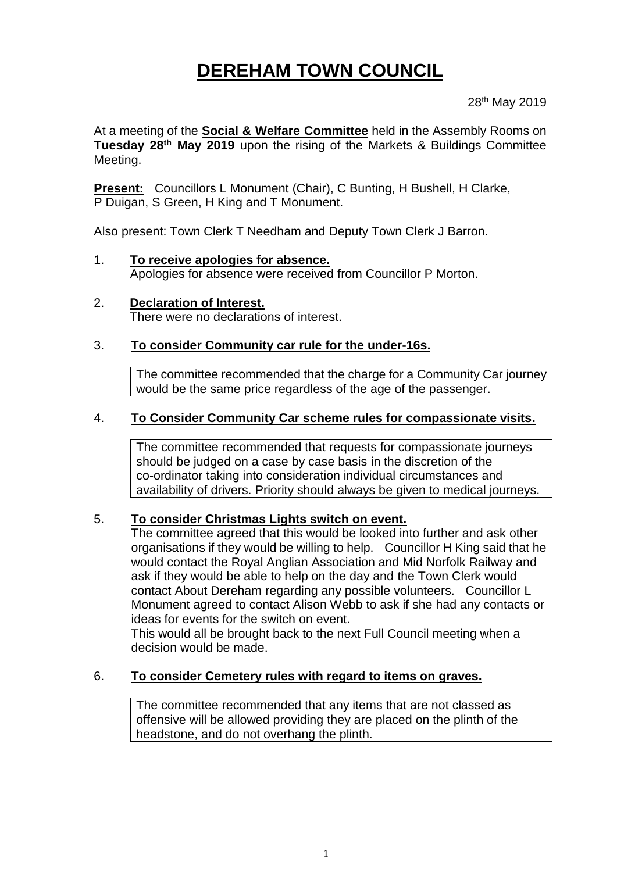# **DEREHAM TOWN COUNCIL**

28th May 2019

At a meeting of the **Social & Welfare Committee** held in the Assembly Rooms on **Tuesday 28th May 2019** upon the rising of the Markets & Buildings Committee Meeting.

**Present:** Councillors L Monument (Chair), C Bunting, H Bushell, H Clarke, P Duigan, S Green, H King and T Monument.

Also present: Town Clerk T Needham and Deputy Town Clerk J Barron.

- 1. **To receive apologies for absence.** Apologies for absence were received from Councillor P Morton.
- 2. **Declaration of Interest.** There were no declarations of interest.

#### 3. **To consider Community car rule for the under-16s.**

The committee recommended that the charge for a Community Car journey would be the same price regardless of the age of the passenger.

### 4. **To Consider Community Car scheme rules for compassionate visits.**

The committee recommended that requests for compassionate journeys should be judged on a case by case basis in the discretion of the co-ordinator taking into consideration individual circumstances and availability of drivers. Priority should always be given to medical journeys.

#### 5. **To consider Christmas Lights switch on event.**

The committee agreed that this would be looked into further and ask other organisations if they would be willing to help. Councillor H King said that he would contact the Royal Anglian Association and Mid Norfolk Railway and ask if they would be able to help on the day and the Town Clerk would contact About Dereham regarding any possible volunteers. Councillor L Monument agreed to contact Alison Webb to ask if she had any contacts or ideas for events for the switch on event.

This would all be brought back to the next Full Council meeting when a decision would be made.

#### 6. **To consider Cemetery rules with regard to items on graves.**

The committee recommended that any items that are not classed as offensive will be allowed providing they are placed on the plinth of the headstone, and do not overhang the plinth.